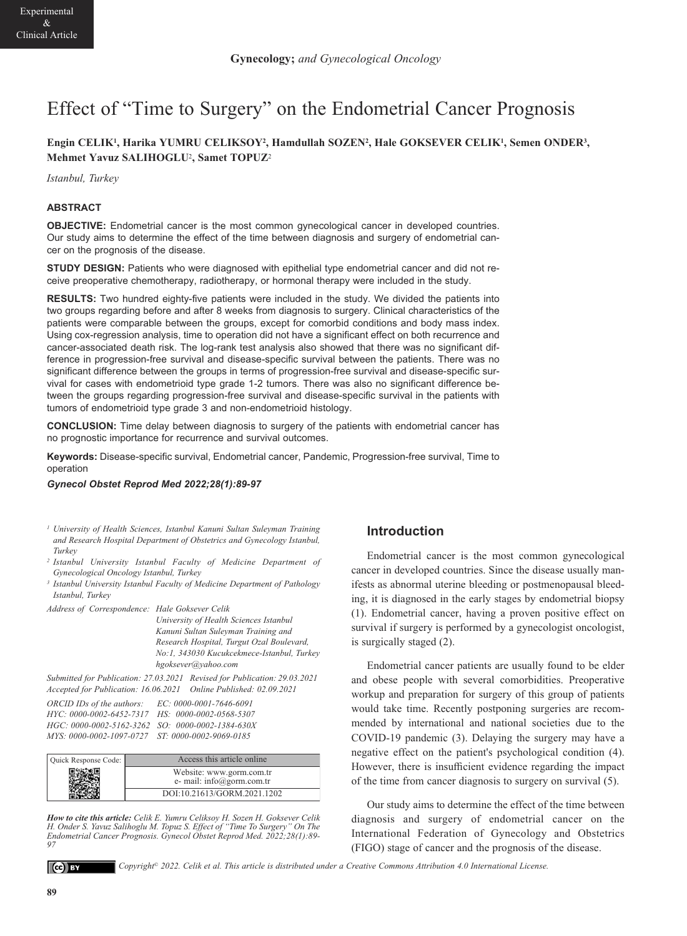# Effect of "Time to Surgery" on the Endometrial Cancer Prognosis

# **Engin CELIK1, Harika YUMRU CELIKSOY2, Hamdullah SOZEN2, Hale GOKSEVER CELIK1, Semen ONDER3, Mehmet Yavuz SALIHOGLU**2**, Samet TOPUZ**<sup>2</sup>

*Istanbul, Turkey* 

## **ABSTRACT**

**OBJECTIVE:** Endometrial cancer is the most common gynecological cancer in developed countries. Our study aims to determine the effect of the time between diagnosis and surgery of endometrial cancer on the prognosis of the disease.

**STUDY DESIGN:** Patients who were diagnosed with epithelial type endometrial cancer and did not receive preoperative chemotherapy, radiotherapy, or hormonal therapy were included in the study.

**RESULTS:** Two hundred eighty-five patients were included in the study. We divided the patients into two groups regarding before and after 8 weeks from diagnosis to surgery. Clinical characteristics of the patients were comparable between the groups, except for comorbid conditions and body mass index. Using cox-regression analysis, time to operation did not have a significant effect on both recurrence and cancer-associated death risk. The log-rank test analysis also showed that there was no significant difference in progression-free survival and disease-specific survival between the patients. There was no significant difference between the groups in terms of progression-free survival and disease-specific survival for cases with endometrioid type grade 1-2 tumors. There was also no significant difference between the groups regarding progression-free survival and disease-specific survival in the patients with tumors of endometrioid type grade 3 and non-endometrioid histology.

**CONCLUSION:** Time delay between diagnosis to surgery of the patients with endometrial cancer has no prognostic importance for recurrence and survival outcomes.

**Keywords:** Disease-specific survival, Endometrial cancer, Pandemic, Progression-free survival, Time to operation

#### *Gynecol Obstet Reprod Med 2022;28(1):89-97*

- *<sup>1</sup> University of Health Sciences, Istanbul Kanuni Sultan Suleyman Training and Research Hospital Department of Obstetrics and Gynecology Istanbul, Turkey*
- *<sup>2</sup> Istanbul University Istanbul Faculty of Medicine Department of Gynecological Oncology Istanbul, Turkey*
- *<sup>3</sup> Istanbul University Istanbul Faculty of Medicine Department of Pathology Istanbul, Turkey*

*Address of Correspondence: Hale Goksever Celik* 

*University of Health Sciences Istanbul Kanuni Sultan Suleyman Training and Research Hospital, Turgut Ozal Boulevard, No:1, 343030 Kucukcekmece-Istanbul, Turkey hgoksever@yahoo.com* 

*Submitted for Publication: 27.03.2021 Revised for Publication: 29.03.2021 Accepted for Publication: 16.06.2021 Online Published: 02.09.2021* 

| ORCID IDs of the authors:                        | EC: 0000-0001-7646-6091 |
|--------------------------------------------------|-------------------------|
| HYC: 0000-0002-6452-7317                         | HS: 0000-0002-0568-5307 |
| HGC: 0000-0002-5162-3262 SO: 0000-0002-1384-630X |                         |
|                                                  |                         |

| Quick Response Code: | Access this article online  |
|----------------------|-----------------------------|
|                      |                             |
|                      | Website: www.gorm.com.tr    |
|                      | e- mail: info@gorm.com.tr   |
|                      | DOI:10.21613/GORM.2021.1202 |

*How to cite this article: Celik E. Yumru Celiksoy H. Sozen H. Goksever Celik H. Onder S. Yavuz Salihoglu M. Topuz S. Effect of "Time To Surgery" Endometrial Cancer Prognosis. Gynecol Obstet Reprod Med. 2022;28(1):89- 97*

#### $(cc)$  BY

*Copyright© 2022. Celik et al. This article is distributed under a Creative Commons Attribution 4.0 International License.*

# **Introduction**

Endometrial cancer is the most common gynecological cancer in developed countries. Since the disease usually manifests as abnormal uterine bleeding or postmenopausal bleeding, it is diagnosed in the early stages by endometrial biopsy (1). Endometrial cancer, having a proven positive effect on survival if surgery is performed by a gynecologist oncologist, is surgically staged (2).

Endometrial cancer patients are usually found to be elder and obese people with several comorbidities. Preoperative workup and preparation for surgery of this group of patients would take time. Recently postponing surgeries are recommended by international and national societies due to the COVID-19 pandemic (3). Delaying the surgery may have a negative effect on the patient's psychological condition (4). However, there is insufficient evidence regarding the impact of the time from cancer diagnosis to surgery on survival (5).

Our study aims to determine the effect of the time between diagnosis and surgery of endometrial cancer on the International Federation of Gynecology and Obstetrics (FIGO) stage of cancer and the prognosis of the disease.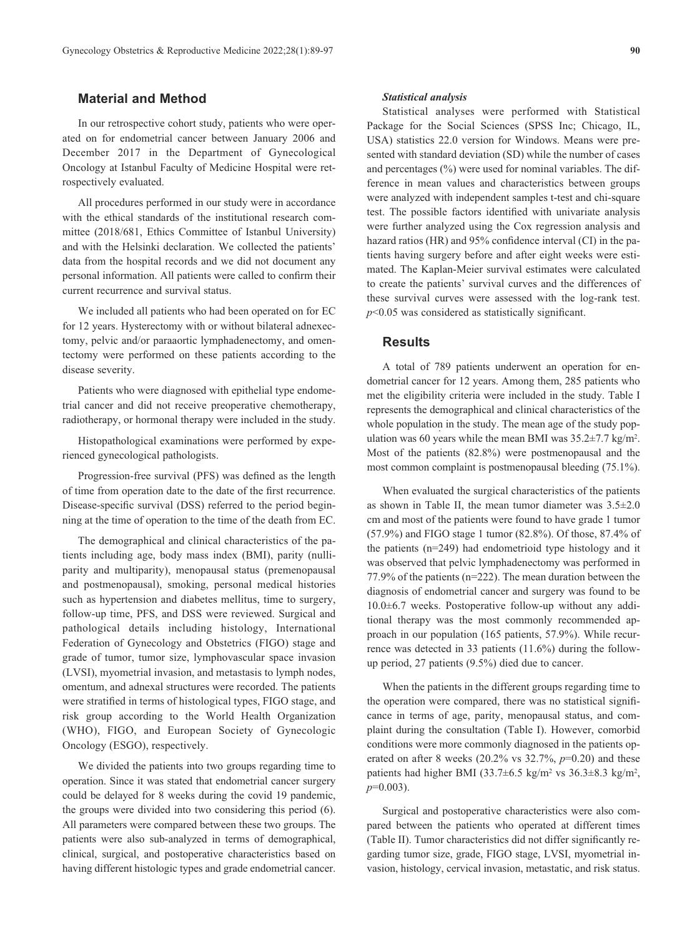## **Material and Method**

In our retrospective cohort study, patients who were operated on for endometrial cancer between January 2006 and December 2017 in the Department of Gynecological Oncology at Istanbul Faculty of Medicine Hospital were retrospectively evaluated.

All procedures performed in our study were in accordance with the ethical standards of the institutional research committee (2018/681, Ethics Committee of Istanbul University) and with the Helsinki declaration. We collected the patients' data from the hospital records and we did not document any personal information. All patients were called to confirm their current recurrence and survival status.

We included all patients who had been operated on for EC for 12 years. Hysterectomy with or without bilateral adnexectomy, pelvic and/or paraaortic lymphadenectomy, and omentectomy were performed on these patients according to the disease severity.

Patients who were diagnosed with epithelial type endometrial cancer and did not receive preoperative chemotherapy, radiotherapy, or hormonal therapy were included in the study.

Histopathological examinations were performed by experienced gynecological pathologists.

Progression-free survival (PFS) was defined as the length of time from operation date to the date of the first recurrence. Disease-specific survival (DSS) referred to the period beginning at the time of operation to the time of the death from EC.

The demographical and clinical characteristics of the patients including age, body mass index (BMI), parity (nulliparity and multiparity), menopausal status (premenopausal and postmenopausal), smoking, personal medical histories such as hypertension and diabetes mellitus, time to surgery, follow-up time, PFS, and DSS were reviewed. Surgical and pathological details including histology, International Federation of Gynecology and Obstetrics (FIGO) stage and grade of tumor, tumor size, lymphovascular space invasion (LVSI), myometrial invasion, and metastasis to lymph nodes, omentum, and adnexal structures were recorded. The patients were stratified in terms of histological types, FIGO stage, and risk group according to the World Health Organization (WHO), FIGO, and European Society of Gynecologic Oncology (ESGO), respectively.

We divided the patients into two groups regarding time to operation. Since it was stated that endometrial cancer surgery could be delayed for 8 weeks during the covid 19 pandemic, the groups were divided into two considering this period (6). All parameters were compared between these two groups. The patients were also sub-analyzed in terms of demographical, clinical, surgical, and postoperative characteristics based on having different histologic types and grade endometrial cancer.

#### *Statistical analysis*

Statistical analyses were performed with Statistical Package for the Social Sciences (SPSS Inc; Chicago, IL, USA) statistics 22.0 version for Windows. Means were presented with standard deviation (SD) while the number of cases and percentages (%) were used for nominal variables. The difference in mean values and characteristics between groups were analyzed with independent samples t-test and chi-square test. The possible factors identified with univariate analysis were further analyzed using the Cox regression analysis and hazard ratios (HR) and 95% confidence interval (CI) in the patients having surgery before and after eight weeks were estimated. The Kaplan-Meier survival estimates were calculated to create the patients' survival curves and the differences of these survival curves were assessed with the log-rank test. *p*<0.05 was considered as statistically significant.

### **Results**

A total of 789 patients underwent an operation for endometrial cancer for 12 years. Among them, 285 patients who met the eligibility criteria were included in the study. Table I represents the demographical and clinical characteristics of the whole population in the study. The mean age of the study population was 60 years while the mean BMI was  $35.2 \pm 7.7$  kg/m<sup>2</sup>. Most of the patients (82.8%) were postmenopausal and the most common complaint is postmenopausal bleeding (75.1%).

When evaluated the surgical characteristics of the patients as shown in Table II, the mean tumor diameter was 3.5±2.0 cm and most of the patients were found to have grade 1 tumor (57.9%) and FIGO stage 1 tumor (82.8%). Of those, 87.4% of the patients (n=249) had endometrioid type histology and it was observed that pelvic lymphadenectomy was performed in 77.9% of the patients (n=222). The mean duration between the diagnosis of endometrial cancer and surgery was found to be 10.0±6.7 weeks. Postoperative follow-up without any additional therapy was the most commonly recommended approach in our population (165 patients, 57.9%). While recurrence was detected in 33 patients (11.6%) during the followup period, 27 patients (9.5%) died due to cancer.

When the patients in the different groups regarding time to the operation were compared, there was no statistical significance in terms of age, parity, menopausal status, and complaint during the consultation (Table I). However, comorbid conditions were more commonly diagnosed in the patients operated on after 8 weeks (20.2% vs 32.7%, *p*=0.20) and these patients had higher BMI (33.7 $\pm$ 6.5 kg/m<sup>2</sup> vs 36.3 $\pm$ 8.3 kg/m<sup>2</sup>, *p*=0.003).

Surgical and postoperative characteristics were also compared between the patients who operated at different times (Table II). Tumor characteristics did not differ significantly regarding tumor size, grade, FIGO stage, LVSI, myometrial invasion, histology, cervical invasion, metastatic, and risk status.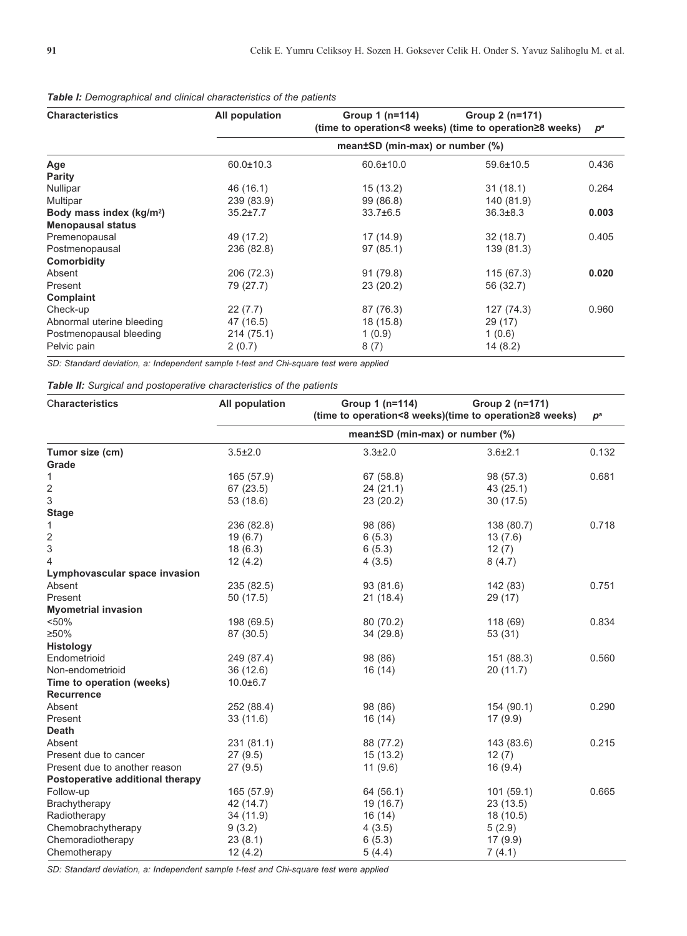| <b>Characteristics</b>               | All population  | Group $1$ (n=114)                                                                          | Group 2 (n=171) | $\bm{p}^{\bm{a}}$ |  |  |  |  |
|--------------------------------------|-----------------|--------------------------------------------------------------------------------------------|-----------------|-------------------|--|--|--|--|
|                                      |                 | (time to operation<8 weeks) (time to operation≥8 weeks)<br>mean±SD (min-max) or number (%) |                 |                   |  |  |  |  |
| Age                                  | $60.0 \pm 10.3$ | 60.6±10.0                                                                                  | 59.6±10.5       | 0.436             |  |  |  |  |
| <b>Parity</b>                        |                 |                                                                                            |                 |                   |  |  |  |  |
| Nullipar                             | 46 (16.1)       | 15(13.2)                                                                                   | 31(18.1)        | 0.264             |  |  |  |  |
| Multipar                             | 239 (83.9)      | 99 (86.8)                                                                                  | 140 (81.9)      |                   |  |  |  |  |
| Body mass index (kg/m <sup>2</sup> ) | $35.2 \pm 7.7$  | $33.7 \pm 6.5$                                                                             | $36.3 \pm 8.3$  | 0.003             |  |  |  |  |
| <b>Menopausal status</b>             |                 |                                                                                            |                 |                   |  |  |  |  |
| Premenopausal                        | 49 (17.2)       | 17 (14.9)                                                                                  | 32 (18.7)       | 0.405             |  |  |  |  |
| Postmenopausal                       | 236 (82.8)      | 97(85.1)                                                                                   | 139 (81.3)      |                   |  |  |  |  |
| Comorbidity                          |                 |                                                                                            |                 |                   |  |  |  |  |
| Absent                               | 206 (72.3)      | 91(79.8)                                                                                   | 115 (67.3)      | 0.020             |  |  |  |  |
| Present                              | 79 (27.7)       | 23 (20.2)                                                                                  | 56 (32.7)       |                   |  |  |  |  |
| Complaint                            |                 |                                                                                            |                 |                   |  |  |  |  |
| Check-up                             | 22(7.7)         | 87 (76.3)                                                                                  | 127 (74.3)      | 0.960             |  |  |  |  |
| Abnormal uterine bleeding            | 47 (16.5)       | 18 (15.8)                                                                                  | 29 (17)         |                   |  |  |  |  |
| Postmenopausal bleeding              | 214 (75.1)      | 1(0.9)                                                                                     | 1(0.6)          |                   |  |  |  |  |
| Pelvic pain                          | 2(0.7)          | 8(7)                                                                                       | 14(8.2)         |                   |  |  |  |  |

| <b>Table I:</b> Demographical and clinical characteristics of the patients |  |
|----------------------------------------------------------------------------|--|
|----------------------------------------------------------------------------|--|

*SD: Standard deviation, a: Independent sample t-test and Chi-square test were applied*

# *Table II: Surgical and postoperative characteristics of the patients*

| Characteristics                  | <b>All population</b>           | Group 1 (n=114)<br>(time to operation<8 weeks)(time to operation≥8 weeks) | Group 2 (n=171) | $p^a$ |  |  |  |  |
|----------------------------------|---------------------------------|---------------------------------------------------------------------------|-----------------|-------|--|--|--|--|
|                                  | mean±SD (min-max) or number (%) |                                                                           |                 |       |  |  |  |  |
| Tumor size (cm)                  | $3.5 + 2.0$                     | $3.3 + 2.0$                                                               | $3.6 + 2.1$     | 0.132 |  |  |  |  |
| Grade                            |                                 |                                                                           |                 |       |  |  |  |  |
| 1                                | 165 (57.9)                      | 67 (58.8)                                                                 | 98 (57.3)       | 0.681 |  |  |  |  |
| 2                                | 67 (23.5)                       | 24(21.1)                                                                  | 43 (25.1)       |       |  |  |  |  |
| 3                                | 53 (18.6)                       | 23(20.2)                                                                  | 30(17.5)        |       |  |  |  |  |
| <b>Stage</b>                     |                                 |                                                                           |                 |       |  |  |  |  |
| 1                                | 236 (82.8)                      | 98 (86)                                                                   | 138 (80.7)      | 0.718 |  |  |  |  |
| $\overline{\mathbf{c}}$          | 19(6.7)                         | 6(5.3)                                                                    | 13(7.6)         |       |  |  |  |  |
| 3                                | 18(6.3)                         | 6(5.3)                                                                    | 12(7)           |       |  |  |  |  |
| 4                                | 12(4.2)                         | 4(3.5)                                                                    | 8(4.7)          |       |  |  |  |  |
| Lymphovascular space invasion    |                                 |                                                                           |                 |       |  |  |  |  |
| Absent                           | 235 (82.5)                      | 93 (81.6)                                                                 | 142 (83)        | 0.751 |  |  |  |  |
| Present                          | 50 (17.5)                       | 21(18.4)                                                                  | 29 (17)         |       |  |  |  |  |
| <b>Myometrial invasion</b>       |                                 |                                                                           |                 |       |  |  |  |  |
| < 50%                            | 198 (69.5)                      | 80 (70.2)                                                                 | 118 (69)        | 0.834 |  |  |  |  |
| ≥50%                             | 87 (30.5)                       | 34(29.8)                                                                  | 53 (31)         |       |  |  |  |  |
| <b>Histology</b>                 |                                 |                                                                           |                 |       |  |  |  |  |
| Endometrioid                     | 249 (87.4)                      | 98 (86)                                                                   | 151 (88.3)      | 0.560 |  |  |  |  |
| Non-endometrioid                 | 36(12.6)                        | 16(14)                                                                    | 20(11.7)        |       |  |  |  |  |
| Time to operation (weeks)        | $10.0 + 6.7$                    |                                                                           |                 |       |  |  |  |  |
| <b>Recurrence</b>                |                                 |                                                                           |                 |       |  |  |  |  |
| Absent                           | 252 (88.4)                      | 98 (86)                                                                   | 154 (90.1)      | 0.290 |  |  |  |  |
| Present                          | 33(11.6)                        | 16(14)                                                                    | 17(9.9)         |       |  |  |  |  |
| <b>Death</b>                     |                                 |                                                                           |                 |       |  |  |  |  |
| Absent                           | 231 (81.1)                      | 88 (77.2)                                                                 | 143 (83.6)      | 0.215 |  |  |  |  |
| Present due to cancer            | 27(9.5)                         | 15(13.2)                                                                  | 12(7)           |       |  |  |  |  |
| Present due to another reason    | 27(9.5)                         | 11(9.6)                                                                   | 16(9.4)         |       |  |  |  |  |
| Postoperative additional therapy |                                 |                                                                           |                 |       |  |  |  |  |
| Follow-up                        | 165 (57.9)                      | 64 (56.1)                                                                 | 101(59.1)       | 0.665 |  |  |  |  |
| Brachytherapy                    | 42 (14.7)                       | 19 (16.7)                                                                 | 23 (13.5)       |       |  |  |  |  |
| Radiotherapy                     | 34 (11.9)                       | 16(14)                                                                    | 18 (10.5)       |       |  |  |  |  |
| Chemobrachytherapy               | 9(3.2)                          | 4(3.5)                                                                    | 5(2.9)          |       |  |  |  |  |
| Chemoradiotherapy                | 23(8.1)                         | 6(5.3)                                                                    | 17(9.9)         |       |  |  |  |  |
| Chemotherapy                     | 12(4.2)                         | 5(4.4)                                                                    | 7(4.1)          |       |  |  |  |  |

*SD: Standard deviation, a: Independent sample t-test and Chi-square test were applied*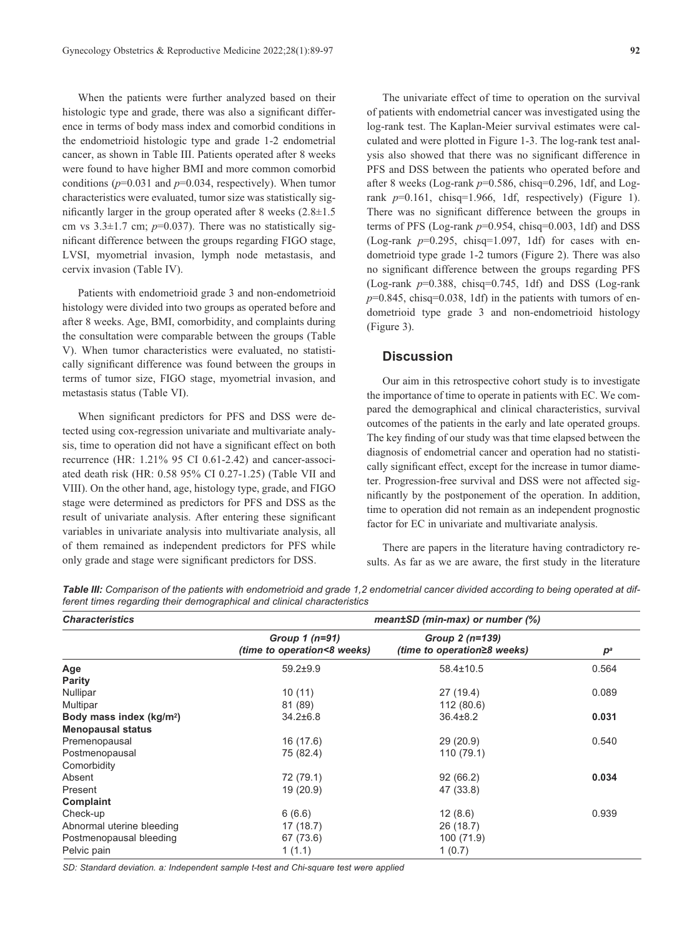When the patients were further analyzed based on their histologic type and grade, there was also a significant difference in terms of body mass index and comorbid conditions in the endometrioid histologic type and grade 1-2 endometrial cancer, as shown in Table III. Patients operated after 8 weeks were found to have higher BMI and more common comorbid conditions ( $p=0.031$  and  $p=0.034$ , respectively). When tumor characteristics were evaluated, tumor size was statistically significantly larger in the group operated after 8 weeks (2.8±1.5 cm vs  $3.3\pm1.7$  cm;  $p=0.037$ ). There was no statistically significant difference between the groups regarding FIGO stage, LVSI, myometrial invasion, lymph node metastasis, and cervix invasion (Table IV).

Patients with endometrioid grade 3 and non-endometrioid histology were divided into two groups as operated before and after 8 weeks. Age, BMI, comorbidity, and complaints during the consultation were comparable between the groups (Table V). When tumor characteristics were evaluated, no statistically significant difference was found between the groups in terms of tumor size, FIGO stage, myometrial invasion, and metastasis status (Table VI).

When significant predictors for PFS and DSS were detected using cox-regression univariate and multivariate analysis, time to operation did not have a significant effect on both recurrence (HR: 1.21% 95 CI 0.61-2.42) and cancer-associated death risk (HR: 0.58 95% CI 0.27-1.25) (Table VII and VIII). On the other hand, age, histology type, grade, and FIGO stage were determined as predictors for PFS and DSS as the result of univariate analysis. After entering these significant variables in univariate analysis into multivariate analysis, all of them remained as independent predictors for PFS while only grade and stage were significant predictors for DSS.

The univariate effect of time to operation on the survival of patients with endometrial cancer was investigated using the log-rank test. The Kaplan-Meier survival estimates were calculated and were plotted in Figure 1-3. The log-rank test analysis also showed that there was no significant difference in PFS and DSS between the patients who operated before and after 8 weeks (Log-rank  $p=0.586$ , chisq=0.296, 1df, and Logrank *p*=0.161, chisq=1.966, 1df, respectively) (Figure 1). There was no significant difference between the groups in terms of PFS (Log-rank *p*=0.954, chisq=0.003, 1df) and DSS (Log-rank *p*=0.295, chisq=1.097, 1df) for cases with endometrioid type grade 1-2 tumors (Figure 2). There was also no significant difference between the groups regarding PFS (Log-rank *p*=0.388, chisq=0.745, 1df) and DSS (Log-rank  $p=0.845$ , chisq=0.038, 1df) in the patients with tumors of endometrioid type grade 3 and non-endometrioid histology (Figure 3).

## **Discussion**

Our aim in this retrospective cohort study is to investigate the importance of time to operate in patients with EC. We compared the demographical and clinical characteristics, survival outcomes of the patients in the early and late operated groups. The key finding of our study was that time elapsed between the diagnosis of endometrial cancer and operation had no statistically significant effect, except for the increase in tumor diameter. Progression-free survival and DSS were not affected significantly by the postponement of the operation. In addition, time to operation did not remain as an independent prognostic factor for EC in univariate and multivariate analysis.

There are papers in the literature having contradictory results. As far as we are aware, the first study in the literature

*Table III: Comparison of the patients with endometrioid and grade 1,2 endometrial cancer divided according to being operated at different times regarding their demographical and clinical characteristics* 

| <b>Characteristics</b>               | mean±SD (min-max) or number (%)                |                                                        |       |  |  |  |
|--------------------------------------|------------------------------------------------|--------------------------------------------------------|-------|--|--|--|
|                                      | Group $1(n=91)$<br>(time to operation<8 weeks) | Group $2(n=139)$<br><i>(time to operation≥8 weeks)</i> | $p^a$ |  |  |  |
| Age                                  | $59.2 + 9.9$                                   | 58.4±10.5                                              | 0.564 |  |  |  |
| <b>Parity</b>                        |                                                |                                                        |       |  |  |  |
| Nullipar                             | 10(11)                                         | 27 (19.4)                                              | 0.089 |  |  |  |
| Multipar                             | 81 (89)                                        | 112 (80.6)                                             |       |  |  |  |
| Body mass index (kg/m <sup>2</sup> ) | $34.2 \pm 6.8$                                 | $36.4 \pm 8.2$                                         | 0.031 |  |  |  |
| <b>Menopausal status</b>             |                                                |                                                        |       |  |  |  |
| Premenopausal                        | 16 (17.6)                                      | 29 (20.9)                                              | 0.540 |  |  |  |
| Postmenopausal                       | 75 (82.4)                                      | 110 (79.1)                                             |       |  |  |  |
| Comorbidity                          |                                                |                                                        |       |  |  |  |
| Absent                               | 72 (79.1)                                      | 92(66.2)                                               | 0.034 |  |  |  |
| Present                              | 19 (20.9)                                      | 47 (33.8)                                              |       |  |  |  |
| Complaint                            |                                                |                                                        |       |  |  |  |
| Check-up                             | 6(6.6)                                         | 12(8.6)                                                | 0.939 |  |  |  |
| Abnormal uterine bleeding            | 17(18.7)                                       | 26 (18.7)                                              |       |  |  |  |
| Postmenopausal bleeding              | 67 (73.6)                                      | 100 (71.9)                                             |       |  |  |  |
| Pelvic pain                          | 1(1.1)                                         | 1(0.7)                                                 |       |  |  |  |

*SD: Standard deviation. a: Independent sample t-test and Chi-square test were applied*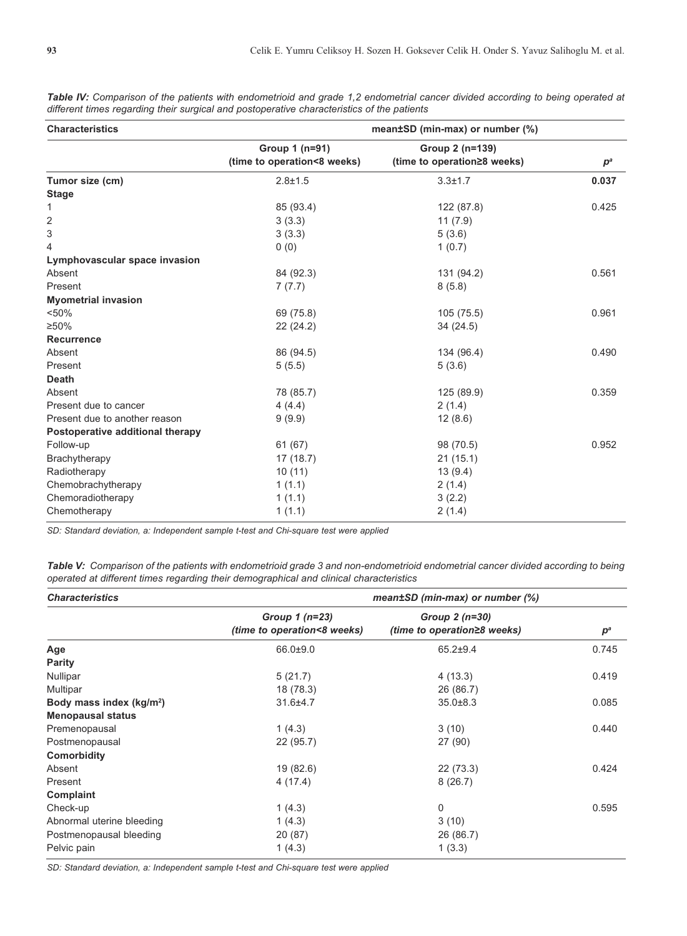| <b>Characteristics</b>           | mean±SD (min-max) or number (%)               |                                                |       |  |  |
|----------------------------------|-----------------------------------------------|------------------------------------------------|-------|--|--|
|                                  | Group 1 (n=91)<br>(time to operation<8 weeks) | Group 2 (n=139)<br>(time to operation≥8 weeks) | $p^a$ |  |  |
| Tumor size (cm)                  | $2.8 + 1.5$                                   | $3.3 \pm 1.7$                                  | 0.037 |  |  |
| <b>Stage</b>                     |                                               |                                                |       |  |  |
| 1                                | 85 (93.4)                                     | 122 (87.8)                                     | 0.425 |  |  |
| 2                                | 3(3.3)                                        | 11(7.9)                                        |       |  |  |
| 3                                | 3(3.3)                                        | 5(3.6)                                         |       |  |  |
| 4                                | 0(0)                                          | 1(0.7)                                         |       |  |  |
| Lymphovascular space invasion    |                                               |                                                |       |  |  |
| Absent                           | 84 (92.3)                                     | 131 (94.2)                                     | 0.561 |  |  |
| Present                          | 7(7.7)                                        | 8(5.8)                                         |       |  |  |
| <b>Myometrial invasion</b>       |                                               |                                                |       |  |  |
| < 50%                            | 69 (75.8)                                     | 105 (75.5)                                     | 0.961 |  |  |
| ≥50%                             | 22(24.2)                                      | 34 (24.5)                                      |       |  |  |
| Recurrence                       |                                               |                                                |       |  |  |
| Absent                           | 86 (94.5)                                     | 134 (96.4)                                     | 0.490 |  |  |
| Present                          | 5(5.5)                                        | 5(3.6)                                         |       |  |  |
| <b>Death</b>                     |                                               |                                                |       |  |  |
| Absent                           | 78 (85.7)                                     | 125 (89.9)                                     | 0.359 |  |  |
| Present due to cancer            | 4(4.4)                                        | 2(1.4)                                         |       |  |  |
| Present due to another reason    | 9(9.9)                                        | 12(8.6)                                        |       |  |  |
| Postoperative additional therapy |                                               |                                                |       |  |  |
| Follow-up                        | 61 (67)                                       | 98 (70.5)                                      | 0.952 |  |  |
| Brachytherapy                    | 17(18.7)                                      | 21(15.1)                                       |       |  |  |
| Radiotherapy                     | 10(11)                                        | 13(9.4)                                        |       |  |  |
| Chemobrachytherapy               | 1(1.1)                                        | 2(1.4)                                         |       |  |  |
| Chemoradiotherapy                | 1(1.1)                                        | 3(2.2)                                         |       |  |  |
| Chemotherapy                     | 1(1.1)                                        | 2(1.4)                                         |       |  |  |

*Table IV: Comparison of the patients with endometrioid and grade 1,2 endometrial cancer divided according to being operated at different times regarding their surgical and postoperative characteristics of the patients* 

*SD: Standard deviation, a: Independent sample t-test and Chi-square test were applied*

*Table V: Comparison of the patients with endometrioid grade 3 and non-endometrioid endometrial cancer divided according to being operated at different times regarding their demographical and clinical characteristics* 

| <b>Characteristics</b>               | mean±SD (min-max) or number (%)                |                                                |       |  |  |
|--------------------------------------|------------------------------------------------|------------------------------------------------|-------|--|--|
|                                      | Group $1(n=23)$<br>(time to operation<8 weeks) | Group $2(n=30)$<br>(time to operation≥8 weeks) | $p^a$ |  |  |
| Age                                  | $66.0 + 9.0$                                   | $65.2 + 9.4$                                   | 0.745 |  |  |
| <b>Parity</b>                        |                                                |                                                |       |  |  |
| Nullipar                             | 5(21.7)                                        | 4(13.3)                                        | 0.419 |  |  |
| Multipar                             | 18 (78.3)                                      | 26 (86.7)                                      |       |  |  |
| Body mass index (kg/m <sup>2</sup> ) | $31.6 + 4.7$                                   | $35.0 + 8.3$                                   | 0.085 |  |  |
| <b>Menopausal status</b>             |                                                |                                                |       |  |  |
| Premenopausal                        | 1(4.3)                                         | 3(10)                                          | 0.440 |  |  |
| Postmenopausal                       | 22 (95.7)                                      | 27 (90)                                        |       |  |  |
| Comorbidity                          |                                                |                                                |       |  |  |
| Absent                               | 19 (82.6)                                      | 22(73.3)                                       | 0.424 |  |  |
| Present                              | 4(17.4)                                        | 8(26.7)                                        |       |  |  |
| Complaint                            |                                                |                                                |       |  |  |
| Check-up                             | 1(4.3)                                         | $\Omega$                                       | 0.595 |  |  |
| Abnormal uterine bleeding            | 1(4.3)                                         | 3(10)                                          |       |  |  |
| Postmenopausal bleeding              | 20 (87)                                        | 26 (86.7)                                      |       |  |  |
| Pelvic pain                          | 1(4.3)                                         | 1(3.3)                                         |       |  |  |

*SD: Standard deviation, a: Independent sample t-test and Chi-square test were applied*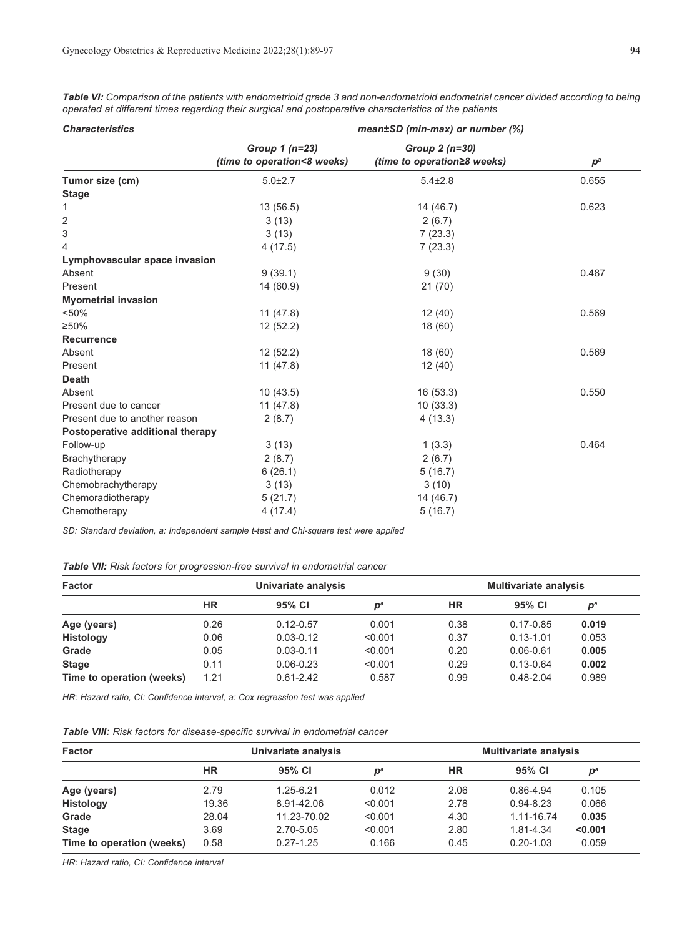| <b>Characteristics</b>           | mean±SD (min-max) or number (%) |                             |       |  |  |
|----------------------------------|---------------------------------|-----------------------------|-------|--|--|
|                                  | Group 1 (n=23)                  | Group $2(n=30)$             |       |  |  |
|                                  | (time to operation<8 weeks)     | (time to operation≥8 weeks) | $p^a$ |  |  |
| Tumor size (cm)                  | $5.0 + 2.7$                     | $5.4 \pm 2.8$               | 0.655 |  |  |
| <b>Stage</b>                     |                                 |                             |       |  |  |
| 1                                | 13(56.5)                        | 14 (46.7)                   | 0.623 |  |  |
| 2                                | 3(13)                           | 2(6.7)                      |       |  |  |
| 3                                | 3(13)                           | 7(23.3)                     |       |  |  |
| 4                                | 4(17.5)                         | 7(23.3)                     |       |  |  |
| Lymphovascular space invasion    |                                 |                             |       |  |  |
| Absent                           | 9(39.1)                         | 9(30)                       | 0.487 |  |  |
| Present                          | 14 (60.9)                       | 21(70)                      |       |  |  |
| <b>Myometrial invasion</b>       |                                 |                             |       |  |  |
| < 50%                            | 11(47.8)                        | 12(40)                      | 0.569 |  |  |
| $\geq 50\%$                      | 12(52.2)                        | 18 (60)                     |       |  |  |
| <b>Recurrence</b>                |                                 |                             |       |  |  |
| Absent                           | 12(52.2)                        | 18 (60)                     | 0.569 |  |  |
| Present                          | 11(47.8)                        | 12(40)                      |       |  |  |
| <b>Death</b>                     |                                 |                             |       |  |  |
| Absent                           | 10(43.5)                        | 16(53.3)                    | 0.550 |  |  |
| Present due to cancer            | 11(47.8)                        | 10(33.3)                    |       |  |  |
| Present due to another reason    | 2(8.7)                          | 4(13.3)                     |       |  |  |
| Postoperative additional therapy |                                 |                             |       |  |  |
| Follow-up                        | 3(13)                           | 1(3.3)                      | 0.464 |  |  |
| Brachytherapy                    | 2(8.7)                          | 2(6.7)                      |       |  |  |
| Radiotherapy                     | 6(26.1)                         | 5(16.7)                     |       |  |  |
| Chemobrachytherapy               | 3(13)                           | 3(10)                       |       |  |  |
| Chemoradiotherapy                | 5(21.7)                         | 14 (46.7)                   |       |  |  |
| Chemotherapy                     | 4(17.4)                         | 5(16.7)                     |       |  |  |

*Table VI: Comparison of the patients with endometrioid grade 3 and non-endometrioid endometrial cancer divided according to being operated at different times regarding their surgical and postoperative characteristics of the patients* 

*SD: Standard deviation, a: Independent sample t-test and Chi-square test were applied* 

|  |  |  |  | Table VII: Risk factors for progression-free survival in endometrial cancer |  |  |  |  |
|--|--|--|--|-----------------------------------------------------------------------------|--|--|--|--|
|--|--|--|--|-----------------------------------------------------------------------------|--|--|--|--|

| <b>Factor</b>             | Univariate analysis |               |                | <b>Multivariate analysis</b> |               |                           |
|---------------------------|---------------------|---------------|----------------|------------------------------|---------------|---------------------------|
|                           | НR                  | 95% CI        | $\mathbf{D}^a$ | ΗR                           | 95% CI        | $\mathbf{p}^{\mathsf{a}}$ |
| Age (years)               | 0.26                | $0.12 - 0.57$ | 0.001          | 0.38                         | $0.17 - 0.85$ | 0.019                     |
| <b>Histology</b>          | 0.06                | $0.03 - 0.12$ | < 0.001        | 0.37                         | $0.13 - 1.01$ | 0.053                     |
| Grade                     | 0.05                | $0.03 - 0.11$ | < 0.001        | 0.20                         | $0.06 - 0.61$ | 0.005                     |
| <b>Stage</b>              | 0.11                | $0.06 - 0.23$ | < 0.001        | 0.29                         | $0.13 - 0.64$ | 0.002                     |
| Time to operation (weeks) | 1.21                | $0.61 - 2.42$ | 0.587          | 0.99                         | $0.48 - 2.04$ | 0.989                     |

*HR: Hazard ratio, CI: Confidence interval, a: Cox regression test was applied*

| <b>Table VIII:</b> Risk factors for disease-specific survival in endometrial cancer |  |  |  |  |
|-------------------------------------------------------------------------------------|--|--|--|--|
|-------------------------------------------------------------------------------------|--|--|--|--|

| <b>Factor</b>             | Univariate analysis |               |                           | <b>Multivariate analysis</b> |               |                           |
|---------------------------|---------------------|---------------|---------------------------|------------------------------|---------------|---------------------------|
|                           | HR                  | 95% CI        | $\mathbf{D}^{\mathsf{a}}$ | ΗR                           | 95% CI        | $\mathbf{p}^{\mathsf{a}}$ |
| Age (years)               | 2.79                | 1.25-6.21     | 0.012                     | 2.06                         | 0.86-4.94     | 0.105                     |
| <b>Histology</b>          | 19.36               | 8.91-42.06    | < 0.001                   | 2.78                         | $0.94 - 8.23$ | 0.066                     |
| Grade                     | 28.04               | 11.23-70.02   | < 0.001                   | 4.30                         | 1.11-16.74    | 0.035                     |
| <b>Stage</b>              | 3.69                | 2.70-5.05     | < 0.001                   | 2.80                         | 1.81-4.34     | $0.001$                   |
| Time to operation (weeks) | 0.58                | $0.27 - 1.25$ | 0.166                     | 0.45                         | $0.20 - 1.03$ | 0.059                     |

*HR: Hazard ratio, CI: Confidence interval*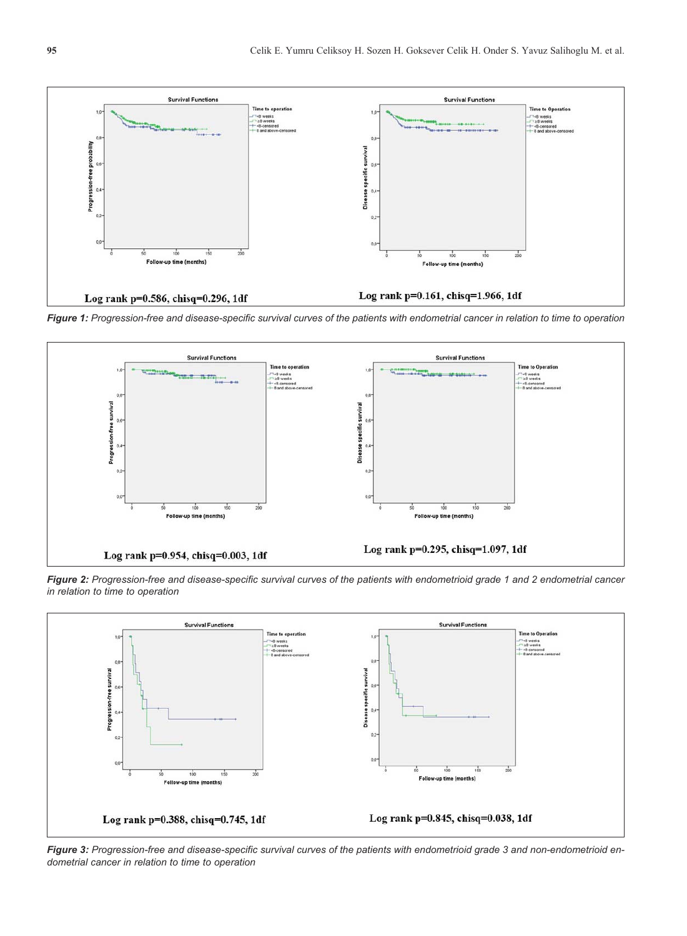

*Figure 1: Progression-free and disease-specific survival curves of the patients with endometrial cancer in relation to time to operation*



*Figure 2: Progression-free and disease-specific survival curves of the patients with endometrioid grade 1 and 2 endometrial cancer in relation to time to operation*



*Figure 3: Progression-free and disease-specific survival curves of the patients with endometrioid grade 3 and non-endometrioid endometrial cancer in relation to time to operation*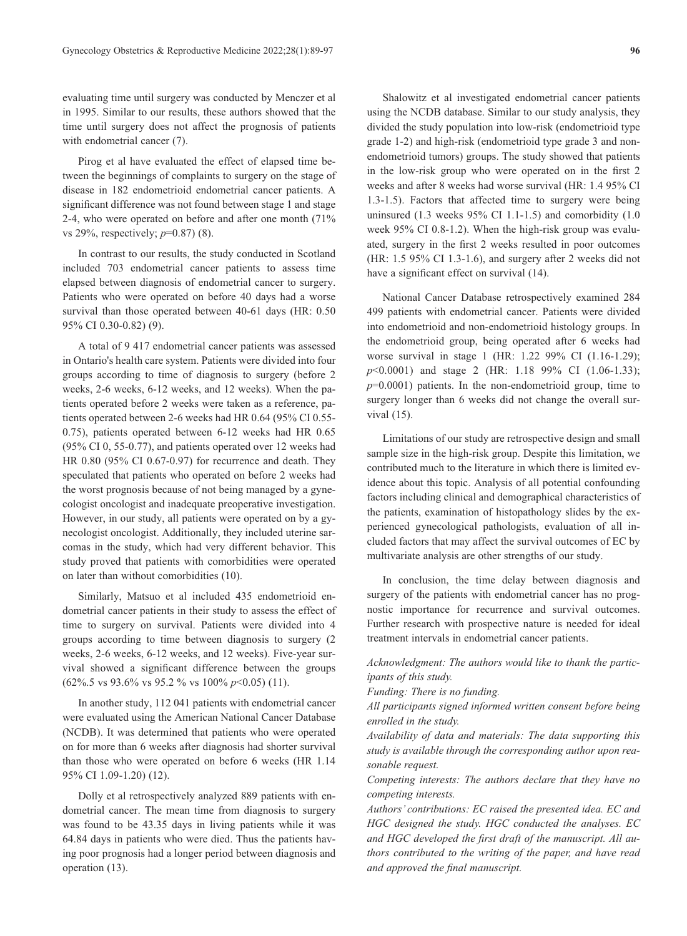evaluating time until surgery was conducted by Menczer et al in 1995. Similar to our results, these authors showed that the time until surgery does not affect the prognosis of patients with endometrial cancer (7).

Pirog et al have evaluated the effect of elapsed time between the beginnings of complaints to surgery on the stage of disease in 182 endometrioid endometrial cancer patients. A significant difference was not found between stage 1 and stage 2-4, who were operated on before and after one month (71% vs 29%, respectively; *p*=0.87) (8).

In contrast to our results, the study conducted in Scotland included 703 endometrial cancer patients to assess time elapsed between diagnosis of endometrial cancer to surgery. Patients who were operated on before 40 days had a worse survival than those operated between 40-61 days (HR: 0.50 95% CI 0.30-0.82) (9).

A total of 9 417 endometrial cancer patients was assessed in Ontario's health care system. Patients were divided into four groups according to time of diagnosis to surgery (before 2 weeks, 2-6 weeks, 6-12 weeks, and 12 weeks). When the patients operated before 2 weeks were taken as a reference, patients operated between 2-6 weeks had HR 0.64 (95% CI 0.55- 0.75), patients operated between 6-12 weeks had HR 0.65 (95% CI 0, 55-0.77), and patients operated over 12 weeks had HR 0.80 (95% CI 0.67-0.97) for recurrence and death. They speculated that patients who operated on before 2 weeks had the worst prognosis because of not being managed by a gynecologist oncologist and inadequate preoperative investigation. However, in our study, all patients were operated on by a gynecologist oncologist. Additionally, they included uterine sarcomas in the study, which had very different behavior. This study proved that patients with comorbidities were operated on later than without comorbidities (10).

Similarly, Matsuo et al included 435 endometrioid endometrial cancer patients in their study to assess the effect of time to surgery on survival. Patients were divided into 4 groups according to time between diagnosis to surgery (2 weeks, 2-6 weeks, 6-12 weeks, and 12 weeks). Five-year survival showed a significant difference between the groups (62%.5 vs 93.6% vs 95.2 % vs 100% *p*<0.05) (11).

In another study, 112 041 patients with endometrial cancer were evaluated using the American National Cancer Database (NCDB). It was determined that patients who were operated on for more than 6 weeks after diagnosis had shorter survival than those who were operated on before 6 weeks (HR 1.14 95% CI 1.09-1.20) (12).

Dolly et al retrospectively analyzed 889 patients with endometrial cancer. The mean time from diagnosis to surgery was found to be 43.35 days in living patients while it was 64.84 days in patients who were died. Thus the patients having poor prognosis had a longer period between diagnosis and operation (13).

Shalowitz et al investigated endometrial cancer patients using the NCDB database. Similar to our study analysis, they divided the study population into low-risk (endometrioid type grade 1-2) and high-risk (endometrioid type grade 3 and nonendometrioid tumors) groups. The study showed that patients in the low-risk group who were operated on in the first 2 weeks and after 8 weeks had worse survival (HR: 1.4 95% CI 1.3-1.5). Factors that affected time to surgery were being uninsured  $(1.3 \text{ weeks } 95\% \text{ CI } 1.1 \text{-} 1.5)$  and comorbidity  $(1.0 \text{ k})$ week 95% CI 0.8-1.2). When the high-risk group was evaluated, surgery in the first 2 weeks resulted in poor outcomes (HR: 1.5 95% CI 1.3-1.6), and surgery after 2 weeks did not have a significant effect on survival  $(14)$ .

National Cancer Database retrospectively examined 284 499 patients with endometrial cancer. Patients were divided into endometrioid and non-endometrioid histology groups. In the endometrioid group, being operated after 6 weeks had worse survival in stage 1 (HR: 1.22 99% CI (1.16-1.29); *p*<0.0001) and stage 2 (HR: 1.18 99% CI (1.06-1.33); *p*=0.0001) patients. In the non-endometrioid group, time to surgery longer than 6 weeks did not change the overall survival (15).

Limitations of our study are retrospective design and small sample size in the high-risk group. Despite this limitation, we contributed much to the literature in which there is limited evidence about this topic. Analysis of all potential confounding factors including clinical and demographical characteristics of the patients, examination of histopathology slides by the experienced gynecological pathologists, evaluation of all included factors that may affect the survival outcomes of EC by multivariate analysis are other strengths of our study.

In conclusion, the time delay between diagnosis and surgery of the patients with endometrial cancer has no prognostic importance for recurrence and survival outcomes. Further research with prospective nature is needed for ideal treatment intervals in endometrial cancer patients.

*Acknowledgment: The authors would like to thank the participants of this study.* 

*Funding: There is no funding.* 

*All participants signed informed written consent before being enrolled in the study.* 

*Availability of data and materials: The data supporting this study is available through the corresponding author upon reasonable request.* 

*Competing interests: The authors declare that they have no competing interests.* 

*Authors' contributions: EC raised the presented idea. EC and HGC designed the study. HGC conducted the analyses. EC and HGC developed the first draft of the manuscript. All authors contributed to the writing of the paper, and have read and approved the final manuscript.*